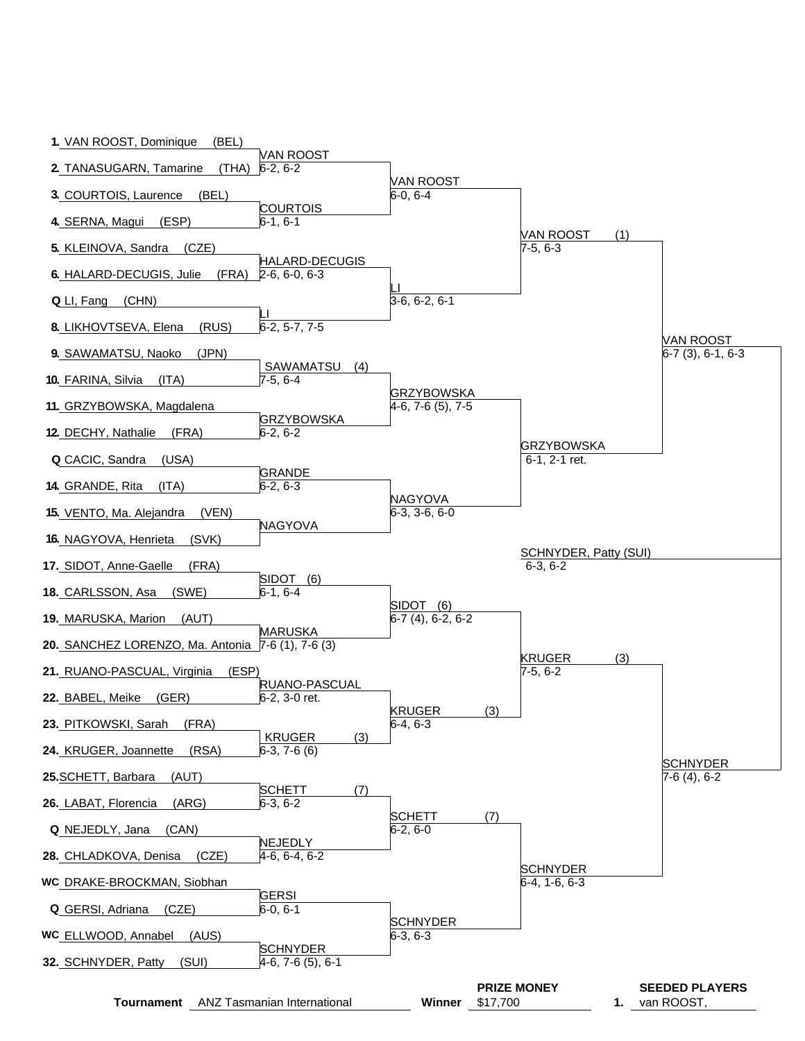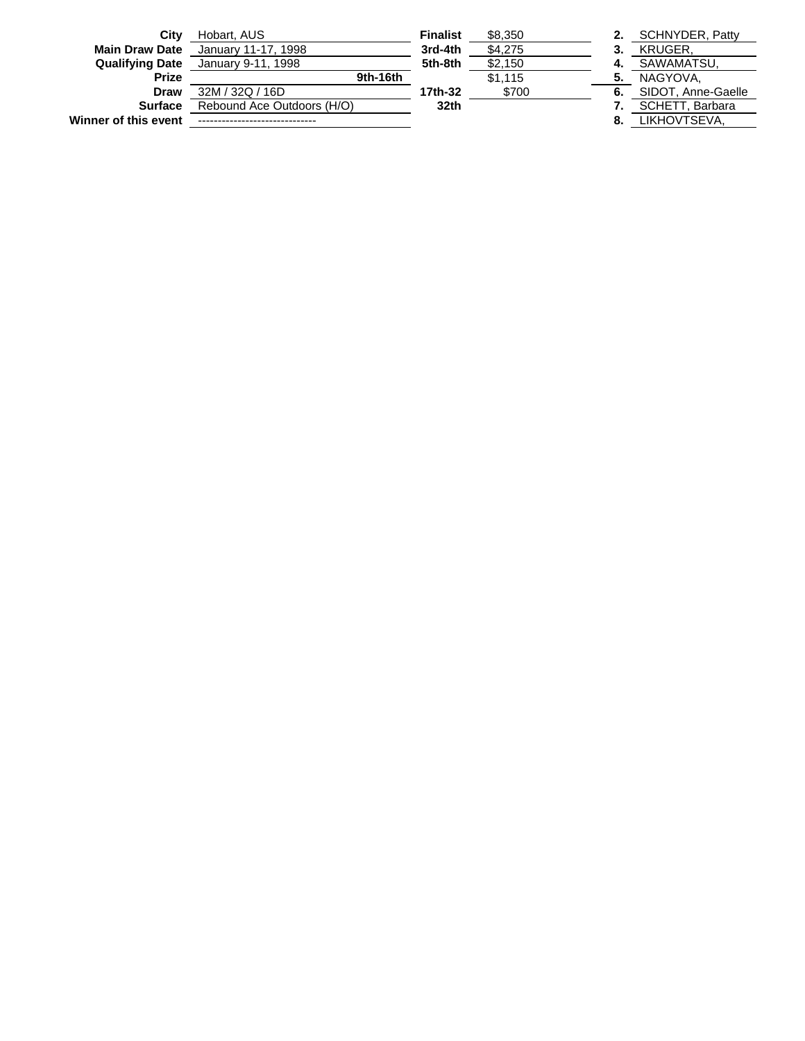| City                   | Hobart, AUS                | <b>Finalist</b> | \$8,350 |    | <b>SCHNYDER, Patty</b> |
|------------------------|----------------------------|-----------------|---------|----|------------------------|
| <b>Main Draw Date</b>  | January 11-17, 1998        | 3rd-4th         | \$4,275 |    | <b>KRUGER.</b>         |
| <b>Qualifying Date</b> | January 9-11, 1998         | 5th-8th         | \$2,150 | 4. | SAWAMATSU.             |
| <b>Prize</b>           | 9th-16th                   |                 | \$1.115 | 5. | NAGYOVA.               |
| Draw                   | 32M / 32Q / 16D            | 17th-32         | \$700   | 6. | SIDOT, Anne-Gaelle     |
| <b>Surface</b>         | Rebound Ace Outdoors (H/O) | 32th            |         |    | SCHETT, Barbara        |
| Winner of this event   |                            |                 |         | 8. | LIKHOVTSEVA.           |
|                        |                            |                 |         |    |                        |